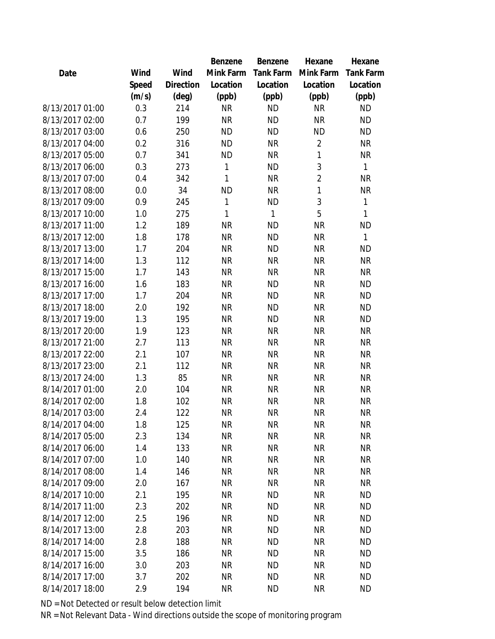|                 |       |                | Benzene   | Benzene          | Hexane         | Hexane           |
|-----------------|-------|----------------|-----------|------------------|----------------|------------------|
| Date            | Wind  | Wind           | Mink Farm | <b>Tank Farm</b> | Mink Farm      | <b>Tank Farm</b> |
|                 | Speed | Direction      | Location  | Location         | Location       | Location         |
|                 | (m/s) | $(\text{deg})$ | (ppb)     | (ppb)            | (ppb)          | (ppb)            |
| 8/13/2017 01:00 | 0.3   | 214            | <b>NR</b> | <b>ND</b>        | <b>NR</b>      | <b>ND</b>        |
| 8/13/2017 02:00 | 0.7   | 199            | <b>NR</b> | <b>ND</b>        | <b>NR</b>      | <b>ND</b>        |
| 8/13/2017 03:00 | 0.6   | 250            | <b>ND</b> | <b>ND</b>        | <b>ND</b>      | <b>ND</b>        |
| 8/13/2017 04:00 | 0.2   | 316            | <b>ND</b> | <b>NR</b>        | $\overline{2}$ | <b>NR</b>        |
| 8/13/2017 05:00 | 0.7   | 341            | <b>ND</b> | <b>NR</b>        | 1              | <b>NR</b>        |
| 8/13/2017 06:00 | 0.3   | 273            | 1         | <b>ND</b>        | 3              | 1                |
| 8/13/2017 07:00 | 0.4   | 342            | 1         | <b>NR</b>        | $\overline{2}$ | <b>NR</b>        |
| 8/13/2017 08:00 | 0.0   | 34             | <b>ND</b> | <b>NR</b>        | 1              | <b>NR</b>        |
| 8/13/2017 09:00 | 0.9   | 245            | 1         | <b>ND</b>        | 3              | 1                |
| 8/13/2017 10:00 | 1.0   | 275            | 1         | 1                | 5              | 1                |
| 8/13/2017 11:00 | 1.2   | 189            | <b>NR</b> | <b>ND</b>        | <b>NR</b>      | <b>ND</b>        |
| 8/13/2017 12:00 | 1.8   | 178            | <b>NR</b> | <b>ND</b>        | <b>NR</b>      | $\mathbf{1}$     |
| 8/13/2017 13:00 | 1.7   | 204            | <b>NR</b> | <b>ND</b>        | <b>NR</b>      | <b>ND</b>        |
| 8/13/2017 14:00 | 1.3   | 112            | <b>NR</b> | <b>NR</b>        | <b>NR</b>      | <b>NR</b>        |
| 8/13/2017 15:00 | 1.7   | 143            | <b>NR</b> | <b>NR</b>        | <b>NR</b>      | <b>NR</b>        |
| 8/13/2017 16:00 | 1.6   | 183            | <b>NR</b> | <b>ND</b>        | <b>NR</b>      | <b>ND</b>        |
| 8/13/2017 17:00 | 1.7   | 204            | <b>NR</b> | <b>ND</b>        | <b>NR</b>      | <b>ND</b>        |
| 8/13/2017 18:00 | 2.0   | 192            | <b>NR</b> | <b>ND</b>        | <b>NR</b>      | <b>ND</b>        |
| 8/13/2017 19:00 | 1.3   | 195            | <b>NR</b> | <b>ND</b>        | <b>NR</b>      | <b>ND</b>        |
| 8/13/2017 20:00 | 1.9   | 123            | <b>NR</b> | <b>NR</b>        | <b>NR</b>      | <b>NR</b>        |
| 8/13/2017 21:00 | 2.7   | 113            | <b>NR</b> | <b>NR</b>        | <b>NR</b>      | <b>NR</b>        |
| 8/13/2017 22:00 | 2.1   | 107            | <b>NR</b> | <b>NR</b>        | <b>NR</b>      | <b>NR</b>        |
| 8/13/2017 23:00 | 2.1   | 112            | <b>NR</b> | <b>NR</b>        | <b>NR</b>      | <b>NR</b>        |
| 8/13/2017 24:00 | 1.3   | 85             | <b>NR</b> | <b>NR</b>        | <b>NR</b>      | <b>NR</b>        |
| 8/14/2017 01:00 | 2.0   | 104            | <b>NR</b> | <b>NR</b>        | <b>NR</b>      | <b>NR</b>        |
| 8/14/2017 02:00 | 1.8   | 102            | <b>NR</b> | <b>NR</b>        | <b>NR</b>      | <b>NR</b>        |
| 8/14/2017 03:00 | 2.4   | 122            | <b>NR</b> | <b>NR</b>        | NR             | <b>NR</b>        |
| 8/14/2017 04:00 | 1.8   | 125            | <b>NR</b> | <b>NR</b>        | <b>NR</b>      | <b>NR</b>        |
| 8/14/2017 05:00 | 2.3   | 134            | <b>NR</b> | <b>NR</b>        | <b>NR</b>      | <b>NR</b>        |
| 8/14/2017 06:00 | 1.4   | 133            | <b>NR</b> | <b>NR</b>        | <b>NR</b>      | <b>NR</b>        |
| 8/14/2017 07:00 | 1.0   | 140            | <b>NR</b> | <b>NR</b>        | <b>NR</b>      | <b>NR</b>        |
| 8/14/2017 08:00 | 1.4   | 146            | <b>NR</b> | <b>NR</b>        | <b>NR</b>      | <b>NR</b>        |
| 8/14/2017 09:00 | 2.0   | 167            | <b>NR</b> | <b>NR</b>        | <b>NR</b>      | <b>NR</b>        |
| 8/14/2017 10:00 | 2.1   | 195            | <b>NR</b> | <b>ND</b>        | <b>NR</b>      | <b>ND</b>        |
| 8/14/2017 11:00 | 2.3   | 202            | <b>NR</b> | <b>ND</b>        | <b>NR</b>      | <b>ND</b>        |
| 8/14/2017 12:00 | 2.5   | 196            | <b>NR</b> | <b>ND</b>        | <b>NR</b>      | <b>ND</b>        |
| 8/14/2017 13:00 | 2.8   | 203            | <b>NR</b> | <b>ND</b>        | <b>NR</b>      | <b>ND</b>        |
| 8/14/2017 14:00 | 2.8   | 188            | <b>NR</b> | <b>ND</b>        | <b>NR</b>      | <b>ND</b>        |
| 8/14/2017 15:00 | 3.5   | 186            | <b>NR</b> | <b>ND</b>        | <b>NR</b>      | <b>ND</b>        |
| 8/14/2017 16:00 | 3.0   | 203            | <b>NR</b> | <b>ND</b>        | <b>NR</b>      | <b>ND</b>        |
| 8/14/2017 17:00 | 3.7   | 202            | <b>NR</b> | <b>ND</b>        | <b>NR</b>      | <b>ND</b>        |
| 8/14/2017 18:00 | 2.9   | 194            | <b>NR</b> | <b>ND</b>        | <b>NR</b>      | <b>ND</b>        |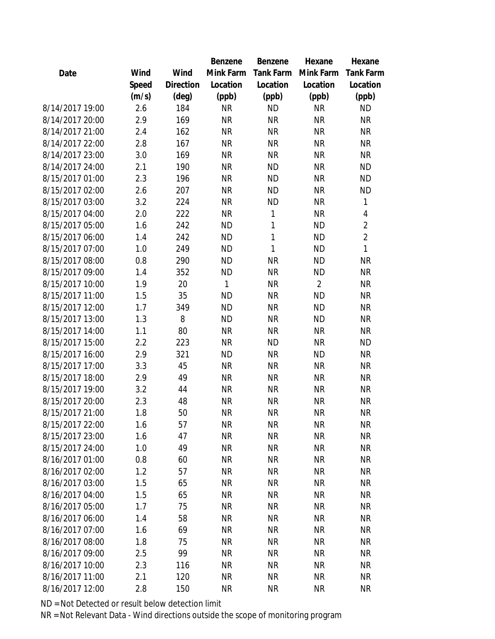|                 |       |                | Benzene      | Benzene   | Hexane         | Hexane           |
|-----------------|-------|----------------|--------------|-----------|----------------|------------------|
| Date            | Wind  | Wind           | Mink Farm    | Tank Farm | Mink Farm      | <b>Tank Farm</b> |
|                 | Speed | Direction      | Location     | Location  | Location       | Location         |
|                 | (m/s) | $(\text{deg})$ | (ppb)        | (ppb)     | (ppb)          | (ppb)            |
| 8/14/2017 19:00 | 2.6   | 184            | <b>NR</b>    | <b>ND</b> | <b>NR</b>      | <b>ND</b>        |
| 8/14/2017 20:00 | 2.9   | 169            | <b>NR</b>    | <b>NR</b> | <b>NR</b>      | <b>NR</b>        |
| 8/14/2017 21:00 | 2.4   | 162            | <b>NR</b>    | <b>NR</b> | <b>NR</b>      | <b>NR</b>        |
| 8/14/2017 22:00 | 2.8   | 167            | <b>NR</b>    | <b>NR</b> | <b>NR</b>      | <b>NR</b>        |
| 8/14/2017 23:00 | 3.0   | 169            | <b>NR</b>    | <b>NR</b> | <b>NR</b>      | <b>NR</b>        |
| 8/14/2017 24:00 | 2.1   | 190            | <b>NR</b>    | <b>ND</b> | <b>NR</b>      | <b>ND</b>        |
| 8/15/2017 01:00 | 2.3   | 196            | <b>NR</b>    | <b>ND</b> | <b>NR</b>      | <b>ND</b>        |
| 8/15/2017 02:00 | 2.6   | 207            | <b>NR</b>    | <b>ND</b> | <b>NR</b>      | <b>ND</b>        |
| 8/15/2017 03:00 | 3.2   | 224            | <b>NR</b>    | <b>ND</b> | <b>NR</b>      | 1                |
| 8/15/2017 04:00 | 2.0   | 222            | <b>NR</b>    | 1         | <b>NR</b>      | 4                |
| 8/15/2017 05:00 | 1.6   | 242            | <b>ND</b>    | 1         | <b>ND</b>      | $\overline{2}$   |
| 8/15/2017 06:00 | 1.4   | 242            | <b>ND</b>    | 1         | <b>ND</b>      | $\overline{2}$   |
| 8/15/2017 07:00 | 1.0   | 249            | <b>ND</b>    | 1         | <b>ND</b>      | 1                |
| 8/15/2017 08:00 | 0.8   | 290            | <b>ND</b>    | <b>NR</b> | <b>ND</b>      | <b>NR</b>        |
| 8/15/2017 09:00 | 1.4   | 352            | <b>ND</b>    | <b>NR</b> | <b>ND</b>      | <b>NR</b>        |
| 8/15/2017 10:00 | 1.9   | 20             | $\mathbf{1}$ | <b>NR</b> | $\overline{2}$ | <b>NR</b>        |
| 8/15/2017 11:00 | 1.5   | 35             | <b>ND</b>    | <b>NR</b> | <b>ND</b>      | <b>NR</b>        |
| 8/15/2017 12:00 | 1.7   | 349            | <b>ND</b>    | <b>NR</b> | <b>ND</b>      | <b>NR</b>        |
| 8/15/2017 13:00 | 1.3   | 8              | <b>ND</b>    | <b>NR</b> | <b>ND</b>      | <b>NR</b>        |
| 8/15/2017 14:00 | 1.1   | 80             | <b>NR</b>    | <b>NR</b> | <b>NR</b>      | <b>NR</b>        |
| 8/15/2017 15:00 | 2.2   | 223            | <b>NR</b>    | <b>ND</b> | <b>NR</b>      | <b>ND</b>        |
| 8/15/2017 16:00 | 2.9   | 321            | <b>ND</b>    | <b>NR</b> | <b>ND</b>      | <b>NR</b>        |
| 8/15/2017 17:00 | 3.3   | 45             | <b>NR</b>    | <b>NR</b> | <b>NR</b>      | <b>NR</b>        |
| 8/15/2017 18:00 | 2.9   | 49             | <b>NR</b>    | <b>NR</b> | <b>NR</b>      | <b>NR</b>        |
| 8/15/2017 19:00 | 3.2   | 44             | <b>NR</b>    | <b>NR</b> | <b>NR</b>      | <b>NR</b>        |
| 8/15/2017 20:00 | 2.3   | 48             | <b>NR</b>    | <b>NR</b> | <b>NR</b>      | <b>NR</b>        |
| 8/15/2017 21:00 | 1.8   | 50             | <b>NR</b>    | <b>NR</b> | <b>NR</b>      | <b>NR</b>        |
| 8/15/2017 22:00 | 1.6   | 57             | <b>NR</b>    | <b>NR</b> | <b>NR</b>      | <b>NR</b>        |
| 8/15/2017 23:00 | 1.6   | 47             | <b>NR</b>    | <b>NR</b> | <b>NR</b>      | <b>NR</b>        |
| 8/15/2017 24:00 | 1.0   | 49             | <b>NR</b>    | <b>NR</b> | <b>NR</b>      | <b>NR</b>        |
| 8/16/2017 01:00 | 0.8   | 60             | <b>NR</b>    | <b>NR</b> | <b>NR</b>      | <b>NR</b>        |
| 8/16/2017 02:00 | 1.2   | 57             | <b>NR</b>    | <b>NR</b> | <b>NR</b>      | <b>NR</b>        |
| 8/16/2017 03:00 | 1.5   | 65             | <b>NR</b>    | <b>NR</b> | <b>NR</b>      | <b>NR</b>        |
| 8/16/2017 04:00 | 1.5   | 65             | <b>NR</b>    | <b>NR</b> | <b>NR</b>      | <b>NR</b>        |
| 8/16/2017 05:00 | 1.7   | 75             | <b>NR</b>    | <b>NR</b> | <b>NR</b>      | <b>NR</b>        |
| 8/16/2017 06:00 | 1.4   | 58             | <b>NR</b>    | <b>NR</b> | <b>NR</b>      | <b>NR</b>        |
| 8/16/2017 07:00 | 1.6   | 69             | <b>NR</b>    | <b>NR</b> | <b>NR</b>      | <b>NR</b>        |
| 8/16/2017 08:00 | 1.8   | 75             | <b>NR</b>    | <b>NR</b> | <b>NR</b>      | <b>NR</b>        |
| 8/16/2017 09:00 | 2.5   | 99             | <b>NR</b>    | <b>NR</b> | <b>NR</b>      | <b>NR</b>        |
| 8/16/2017 10:00 | 2.3   | 116            | <b>NR</b>    | <b>NR</b> | <b>NR</b>      | <b>NR</b>        |
| 8/16/2017 11:00 | 2.1   | 120            | <b>NR</b>    | <b>NR</b> | <b>NR</b>      | <b>NR</b>        |
| 8/16/2017 12:00 | 2.8   | 150            | <b>NR</b>    | <b>NR</b> | <b>NR</b>      | <b>NR</b>        |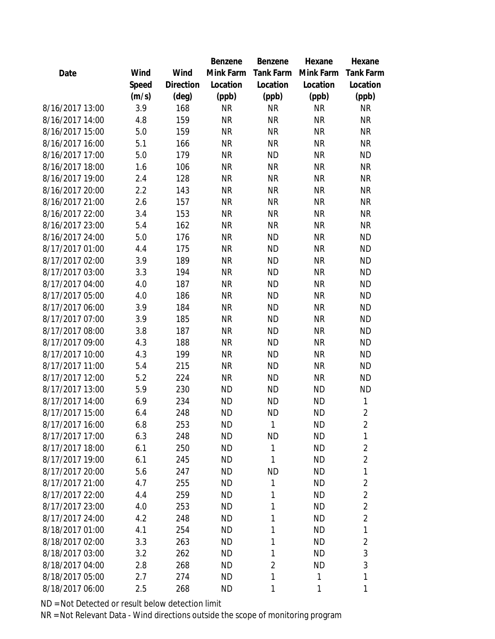|                 |       |           | Benzene   | Benzene        | Hexane    | Hexane           |
|-----------------|-------|-----------|-----------|----------------|-----------|------------------|
| Date            | Wind  | Wind      | Mink Farm | Tank Farm      | Mink Farm | <b>Tank Farm</b> |
|                 | Speed | Direction | Location  | Location       | Location  | Location         |
|                 | (m/s) | (deg)     | (ppb)     | (ppb)          | (ppb)     | (ppb)            |
| 8/16/2017 13:00 | 3.9   | 168       | <b>NR</b> | <b>NR</b>      | <b>NR</b> | <b>NR</b>        |
| 8/16/2017 14:00 | 4.8   | 159       | <b>NR</b> | <b>NR</b>      | <b>NR</b> | <b>NR</b>        |
| 8/16/2017 15:00 | 5.0   | 159       | <b>NR</b> | <b>NR</b>      | <b>NR</b> | <b>NR</b>        |
| 8/16/2017 16:00 | 5.1   | 166       | <b>NR</b> | <b>NR</b>      | <b>NR</b> | <b>NR</b>        |
| 8/16/2017 17:00 | 5.0   | 179       | <b>NR</b> | <b>ND</b>      | <b>NR</b> | <b>ND</b>        |
| 8/16/2017 18:00 | 1.6   | 106       | <b>NR</b> | <b>NR</b>      | <b>NR</b> | <b>NR</b>        |
| 8/16/2017 19:00 | 2.4   | 128       | <b>NR</b> | <b>NR</b>      | <b>NR</b> | <b>NR</b>        |
| 8/16/2017 20:00 | 2.2   | 143       | <b>NR</b> | <b>NR</b>      | <b>NR</b> | <b>NR</b>        |
| 8/16/2017 21:00 | 2.6   | 157       | <b>NR</b> | <b>NR</b>      | <b>NR</b> | <b>NR</b>        |
| 8/16/2017 22:00 | 3.4   | 153       | <b>NR</b> | <b>NR</b>      | <b>NR</b> | <b>NR</b>        |
| 8/16/2017 23:00 | 5.4   | 162       | <b>NR</b> | <b>NR</b>      | <b>NR</b> | <b>NR</b>        |
| 8/16/2017 24:00 | 5.0   | 176       | <b>NR</b> | <b>ND</b>      | <b>NR</b> | <b>ND</b>        |
| 8/17/2017 01:00 | 4.4   | 175       | <b>NR</b> | <b>ND</b>      | <b>NR</b> | <b>ND</b>        |
| 8/17/2017 02:00 | 3.9   | 189       | <b>NR</b> | <b>ND</b>      | <b>NR</b> | <b>ND</b>        |
| 8/17/2017 03:00 | 3.3   | 194       | <b>NR</b> | <b>ND</b>      | <b>NR</b> | <b>ND</b>        |
| 8/17/2017 04:00 | 4.0   | 187       | <b>NR</b> | <b>ND</b>      | <b>NR</b> | <b>ND</b>        |
| 8/17/2017 05:00 | 4.0   | 186       | <b>NR</b> | <b>ND</b>      | <b>NR</b> | <b>ND</b>        |
| 8/17/2017 06:00 | 3.9   | 184       | <b>NR</b> | <b>ND</b>      | <b>NR</b> | <b>ND</b>        |
| 8/17/2017 07:00 | 3.9   | 185       | <b>NR</b> | <b>ND</b>      | <b>NR</b> | <b>ND</b>        |
| 8/17/2017 08:00 | 3.8   | 187       | <b>NR</b> | <b>ND</b>      | <b>NR</b> | <b>ND</b>        |
| 8/17/2017 09:00 | 4.3   | 188       | <b>NR</b> | <b>ND</b>      | <b>NR</b> | <b>ND</b>        |
| 8/17/2017 10:00 | 4.3   | 199       | <b>NR</b> | <b>ND</b>      | <b>NR</b> | <b>ND</b>        |
| 8/17/2017 11:00 | 5.4   | 215       | <b>NR</b> | <b>ND</b>      | <b>NR</b> | <b>ND</b>        |
| 8/17/2017 12:00 | 5.2   | 224       | <b>NR</b> | <b>ND</b>      | <b>NR</b> | <b>ND</b>        |
| 8/17/2017 13:00 | 5.9   | 230       | <b>ND</b> | <b>ND</b>      | <b>ND</b> | <b>ND</b>        |
| 8/17/2017 14:00 | 6.9   | 234       | <b>ND</b> | <b>ND</b>      | <b>ND</b> | 1                |
| 8/17/2017 15:00 | 6.4   | 248       | <b>ND</b> | <b>ND</b>      | <b>ND</b> | $\overline{2}$   |
| 8/17/2017 16:00 | 6.8   | 253       | <b>ND</b> | 1              | <b>ND</b> | $\overline{2}$   |
| 8/17/2017 17:00 | 6.3   | 248       | <b>ND</b> | ΝD             | <b>ND</b> | 1                |
| 8/17/2017 18:00 | 6.1   | 250       | <b>ND</b> | 1              | <b>ND</b> | $\overline{2}$   |
| 8/17/2017 19:00 | 6.1   | 245       | <b>ND</b> | 1              | <b>ND</b> | $\overline{2}$   |
| 8/17/2017 20:00 | 5.6   | 247       | <b>ND</b> | ΝD             | <b>ND</b> | 1                |
| 8/17/2017 21:00 | 4.7   | 255       | <b>ND</b> | 1              | <b>ND</b> | 2                |
| 8/17/2017 22:00 | 4.4   | 259       | <b>ND</b> | 1              | <b>ND</b> | $\overline{2}$   |
| 8/17/2017 23:00 | 4.0   | 253       | <b>ND</b> | 1              | <b>ND</b> | $\overline{2}$   |
| 8/17/2017 24:00 | 4.2   | 248       | <b>ND</b> | 1              | <b>ND</b> | $\overline{2}$   |
| 8/18/2017 01:00 | 4.1   | 254       | <b>ND</b> | 1              | <b>ND</b> | $\mathbf{1}$     |
| 8/18/2017 02:00 | 3.3   | 263       | <b>ND</b> | 1              | <b>ND</b> | $\overline{2}$   |
| 8/18/2017 03:00 | 3.2   | 262       | <b>ND</b> | 1              | <b>ND</b> | 3                |
| 8/18/2017 04:00 | 2.8   | 268       | <b>ND</b> | $\overline{2}$ | <b>ND</b> | 3                |
| 8/18/2017 05:00 | 2.7   | 274       | <b>ND</b> | 1              | 1         | 1                |
| 8/18/2017 06:00 | 2.5   | 268       | <b>ND</b> | 1              | 1         | 1                |